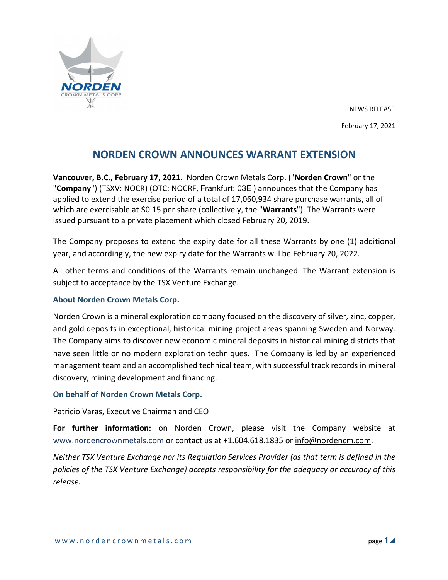

NEWS RELEASE February 17, 2021

## **NORDEN CROWN ANNOUNCES WARRANT EXTENSION**

**Vancouver, B.C., February 17, 2021**. Norden Crown Metals Corp. ("**Norden Crown**" or the "**Company**") (TSXV: NOCR) (OTC: NOCRF, Frankfurt: 03E ) announces that the Company has applied to extend the exercise period of a total of 17,060,934 share purchase warrants, all of which are exercisable at \$0.15 per share (collectively, the "**Warrants**"). The Warrants were issued pursuant to a private placement which closed February 20, 2019.

The Company proposes to extend the expiry date for all these Warrants by one (1) additional year, and accordingly, the new expiry date for the Warrants will be February 20, 2022.

All other terms and conditions of the Warrants remain unchanged. The Warrant extension is subject to acceptance by the TSX Venture Exchange.

## **About Norden Crown Metals Corp.**

Norden Crown is a mineral exploration company focused on the discovery of silver, zinc, copper, and gold deposits in exceptional, historical mining project areas spanning Sweden and Norway. The Company aims to discover new economic mineral deposits in historical mining districts that have seen little or no modern exploration techniques. The Company is led by an experienced management team and an accomplished technical team, with successful track records in mineral discovery, mining development and financing.

## **On behalf of Norden Crown Metals Corp.**

Patricio Varas, Executive Chairman and CEO

**For further information:** on Norden Crown, please visit the Company website at www.nordencrownmetals.com or contact us at +1.604.618.1835 or info@nordencm.com.

*Neither TSX Venture Exchange nor its Regulation Services Provider (as that term is defined in the policies of the TSX Venture Exchange) accepts responsibility for the adequacy or accuracy of this release.*